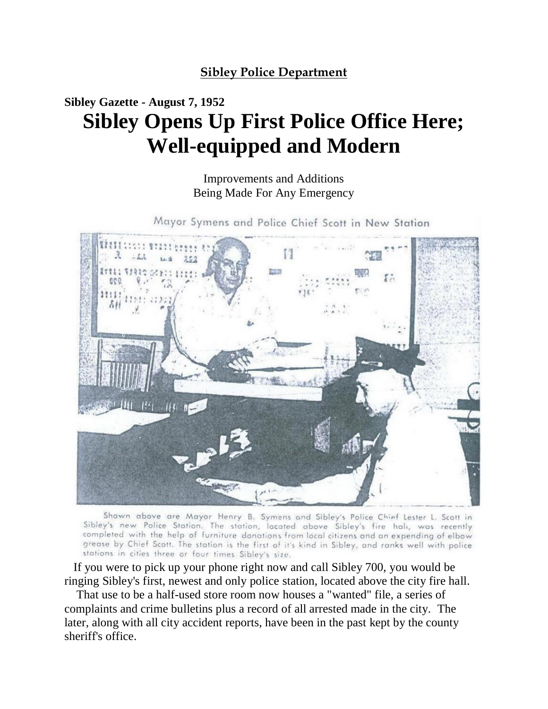## **Sibley Police Department**

## **Sibley Gazette - August 7, 1952 Sibley Opens Up First Police Office Here; Well-equipped and Modern**

Improvements and Additions Being Made For Any Emergency

Mayor Symens and Police Chief Scott in New Station



Shown above are Mayor Henry B. Symens and Sibley's Police Chief Lester L. Scott in Sibley's new Police Station. The station, located above Sibley's fire hali, was recently completed with the help of furniture donations from local citizens and an expending of elbow grease by Chief Scott. The station is the first of it's kind in Sibley, and ranks well with police stations in cities three or four times Sibley's size.

 If you were to pick up your phone right now and call Sibley 700, you would be ringing Sibley's first, newest and only police station, located above the city fire hall.

 That use to be a half-used store room now houses a "wanted" file, a series of complaints and crime bulletins plus a record of all arrested made in the city. The later, along with all city accident reports, have been in the past kept by the county sheriff's office.